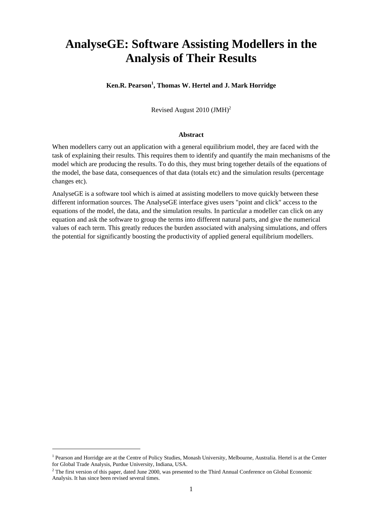# **AnalyseGE: Software Assisting Modellers in the Analysis of Their Results**

### **Ken.R. Pearson<sup>1</sup> , Thomas W. Hertel and J. Mark Horridge**

Revised August 2010 (JMH)2

#### **Abstract**

When modellers carry out an application with a general equilibrium model, they are faced with the task of explaining their results. This requires them to identify and quantify the main mechanisms of the model which are producing the results. To do this, they must bring together details of the equations of the model, the base data, consequences of that data (totals etc) and the simulation results (percentage changes etc).

AnalyseGE is a software tool which is aimed at assisting modellers to move quickly between these different information sources. The AnalyseGE interface gives users "point and click" access to the equations of the model, the data, and the simulation results. In particular a modeller can click on any equation and ask the software to group the terms into different natural parts, and give the numerical values of each term. This greatly reduces the burden associated with analysing simulations, and offers the potential for significantly boosting the productivity of applied general equilibrium modellers.

-

<sup>&</sup>lt;sup>1</sup> Pearson and Horridge are at the Centre of Policy Studies, Monash University, Melbourne, Australia. Hertel is at the Center for Global Trade Analysis, Purdue University, Indiana, USA.

 $2$  The first version of this paper, dated June 2000, was presented to the Third Annual Conference on Global Economic Analysis. It has since been revised several times.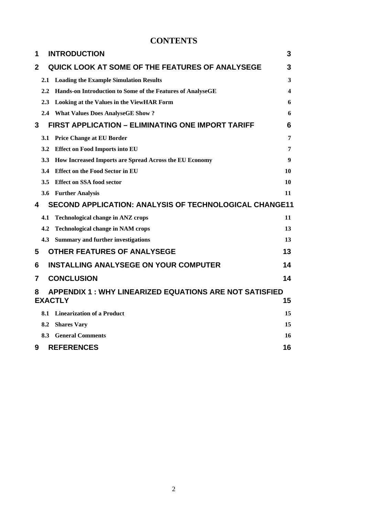# **CONTENTS**

| 1                                                                   |                      | <b>INTRODUCTION</b>                                        | 3  |  |
|---------------------------------------------------------------------|----------------------|------------------------------------------------------------|----|--|
| 2                                                                   |                      | QUICK LOOK AT SOME OF THE FEATURES OF ANALYSEGE            | 3  |  |
|                                                                     | 2.1                  | <b>Loading the Example Simulation Results</b>              | 3  |  |
|                                                                     | 2.2                  | Hands-on Introduction to Some of the Features of AnalyseGE | 4  |  |
|                                                                     | 2.3                  | <b>Looking at the Values in the ViewHAR Form</b>           | 6  |  |
|                                                                     |                      | 2.4 What Values Does AnalyseGE Show?                       | 6  |  |
| 3                                                                   |                      | FIRST APPLICATION - ELIMINATING ONE IMPORT TARIFF          | 6  |  |
|                                                                     | 3.1                  | <b>Price Change at EU Border</b>                           | 7  |  |
|                                                                     | 3.2                  | <b>Effect on Food Imports into EU</b>                      | 7  |  |
|                                                                     | 3.3                  | How Increased Imports are Spread Across the EU Economy     | 9  |  |
|                                                                     | 3.4                  | <b>Effect on the Food Sector in EU</b>                     | 10 |  |
|                                                                     | 3.5                  | <b>Effect on SSA food sector</b>                           | 10 |  |
|                                                                     | 3.6                  | <b>Further Analysis</b>                                    | 11 |  |
| <b>SECOND APPLICATION: ANALYSIS OF TECHNOLOGICAL CHANGE11</b><br>4  |                      |                                                            |    |  |
|                                                                     | 4.1                  | <b>Technological change in ANZ crops</b>                   | 11 |  |
|                                                                     | 4.2                  | <b>Technological change in NAM crops</b>                   | 13 |  |
|                                                                     | 4.3                  | <b>Summary and further investigations</b>                  | 13 |  |
| 5                                                                   |                      | <b>OTHER FEATURES OF ANALYSEGE</b>                         | 13 |  |
| 6                                                                   |                      | <b>INSTALLING ANALYSEGE ON YOUR COMPUTER</b>               | 14 |  |
| 7                                                                   |                      | <b>CONCLUSION</b>                                          | 14 |  |
| <b>APPENDIX 1 : WHY LINEARIZED EQUATIONS ARE NOT SATISFIED</b><br>8 |                      |                                                            |    |  |
|                                                                     | <b>EXACTLY</b><br>15 |                                                            |    |  |
|                                                                     | 8.1                  | <b>Linearization of a Product</b>                          | 15 |  |
|                                                                     | 8.2                  | <b>Shares Vary</b>                                         | 15 |  |
|                                                                     | 8.3                  | <b>General Comments</b>                                    | 16 |  |
| 9                                                                   |                      | <b>REFERENCES</b>                                          | 16 |  |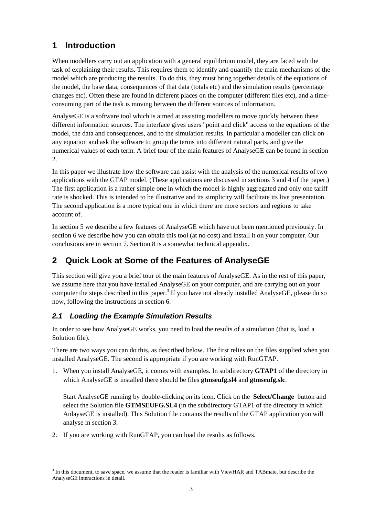# **1 Introduction**

When modellers carry out an application with a general equilibrium model, they are faced with the task of explaining their results. This requires them to identify and quantify the main mechanisms of the model which are producing the results. To do this, they must bring together details of the equations of the model, the base data, consequences of that data (totals etc) and the simulation results (percentage changes etc). Often these are found in different places on the computer (different files etc), and a timeconsuming part of the task is moving between the different sources of information.

AnalyseGE is a software tool which is aimed at assisting modellers to move quickly between these different information sources. The interface gives users "point and click" access to the equations of the model, the data and consequences, and to the simulation results. In particular a modeller can click on any equation and ask the software to group the terms into different natural parts, and give the numerical values of each term. A brief tour of the main features of AnalyseGE can be found in section 2.

In this paper we illustrate how the software can assist with the analysis of the numerical results of two applications with the GTAP model. (These applications are discussed in sections 3 and 4 of the paper.) The first application is a rather simple one in which the model is highly aggregated and only one tariff rate is shocked. This is intended to be illustrative and its simplicity will facilitate its live presentation. The second application is a more typical one in which there are more sectors and regions to take account of.

In section 5 we describe a few features of AnalyseGE which have not been mentioned previously. In section 6 we describe how you can obtain this tool (at no cost) and install it on your computer. Our conclusions are in section 7. Section 8 is a somewhat technical appendix.

# **2 Quick Look at Some of the Features of AnalyseGE**

This section will give you a brief tour of the main features of AnalyseGE. As in the rest of this paper, we assume here that you have installed AnalyseGE on your computer, and are carrying out on your computer the steps described in this paper.<sup>3</sup> If you have not already installed AnalyseGE, please do so now, following the instructions in section 6.

# *2.1 Loading the Example Simulation Results*

In order to see how AnalyseGE works, you need to load the results of a simulation (that is, load a Solution file).

There are two ways you can do this, as described below. The first relies on the files supplied when you installed AnalyseGE. The second is appropriate if you are working with RunGTAP.

1. When you install AnalyseGE, it comes with examples. In subdirectory **GTAP1** of the directory in which AnalyseGE is installed there should be files **gtmseufg.sl4** and **gtmseufg.slc**.

Start AnalyseGE running by double-clicking on its icon. Click on the **Select/Change** button and select the Solution file **GTMSEUFG.SL4** (in the subdirectory GTAP1 of the directory in which AnlayseGE is installed). This Solution file contains the results of the GTAP application you will analyse in section 3.

2. If you are working with RunGTAP, you can load the results as follows.

1

 $3$  In this document, to save space, we assume that the reader is familiar with ViewHAR and TABmate, but describe the AnalyseGE interactions in detail.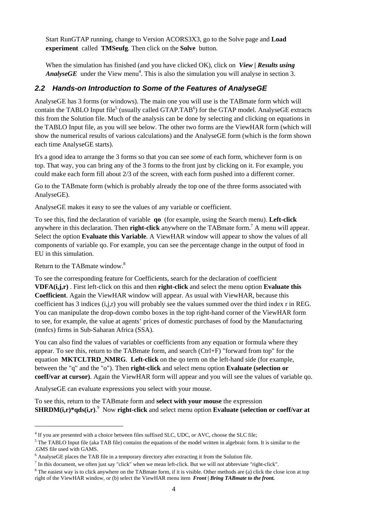Start RunGTAP running, change to Version ACORS3X3, go to the Solve page and **Load experiment** called **TMSeufg**. Then click on the **Solve** button.

When the simulation has finished (and you have clicked OK), click on *View | Results using AnalyseGE* under the View menu<sup>4</sup>. This is also the simulation you will analyse in section 3.

### *2.2 Hands-on Introduction to Some of the Features of AnalyseGE*

AnalyseGE has 3 forms (or windows). The main one you will use is the TABmate form which will contain the TABLO Input file<sup>5</sup> (usually called GTAP.TAB<sup>6</sup>) for the GTAP model. AnalyseGE extracts this from the Solution file. Much of the analysis can be done by selecting and clicking on equations in the TABLO Input file, as you will see below. The other two forms are the ViewHAR form (which will show the numerical results of various calculations) and the AnalyseGE form (which is the form shown each time AnalyseGE starts).

It's a good idea to arrange the 3 forms so that you can see *some* of each form, whichever form is on top. That way, you can bring any of the 3 forms to the front just by clicking on it. For example, you could make each form fill about 2/3 of the screen, with each form pushed into a different corner.

Go to the TABmate form (which is probably already the top one of the three forms associated with AnalyseGE).

AnalyseGE makes it easy to see the values of any variable or coefficient.

To see this, find the declaration of variable **qo** (for example, using the Search menu). **Left-click** anywhere in this declaration. Then **right-click** anywhere on the TABmate form.<sup>7</sup> A menu will appear. Select the option **Evaluate this Variable**. A ViewHAR window will appear to show the values of all components of variable qo. For example, you can see the percentage change in the output of food in EU in this simulation.

Return to the TABmate window.<sup>8</sup>

l

To see the corresponding feature for Coefficients, search for the declaration of coefficient **VDFA(i,j,r)** . First left-click on this and then **right-click** and select the menu option **Evaluate this Coefficient**. Again the ViewHAR window will appear. As usual with ViewHAR, because this coefficient has 3 indices (i,j,r) you will probably see the values summed over the third index r in REG. You can manipulate the drop-down combo boxes in the top right-hand corner of the ViewHAR form to see, for example, the value at agents' prices of domestic purchases of food by the Manufacturing (mnfcs) firms in Sub-Saharan Africa (SSA).

You can also find the values of variables or coefficients from any equation or formula where they appear. To see this, return to the TABmate form, and search (Ctrl+F) "forward from top" for the equation **MKTCLTRD\_NMRG**. **Left-click** on the qo term on the left-hand side (for example, between the "q" and the "o"). Then **right-click** and select menu option **Evaluate (selection or coeff/var at cursor)**. Again the ViewHAR form will appear and you will see the values of variable qo.

AnalyseGE can evaluate expressions you select with your mouse.

To see this, return to the TABmate form and **select with your mouse** the expression **SHRDM(i,r)\*qds(i,r)**. 9 Now **right-click** and select menu option **Evaluate (selection or coeff/var at**

<sup>&</sup>lt;sup>4</sup> If you are presented with a choice between files suffixed SLC, UDC, or AVC, choose the SLC file;

<sup>&</sup>lt;sup>5</sup> The TABLO Input file (aka TAB file) contains the equations of the model written in algebraic form. It is similar to the .GMS file used with GAMS.

 $<sup>6</sup>$  AnalyseGE places the TAB file in a temporary directory after extracting it from the Solution file.</sup>

 $^7$  In this document, we often just say "click" when we mean left-click. But we will not abbreviate "right-click".

<sup>&</sup>lt;sup>8</sup> The easiest way is to click anywhere on the TABmate form, if it is visible. Other methods are (a) click the close icon at top right of the ViewHAR window, or (b) select the ViewHAR menu item *Front | Bring TABmate to the front.*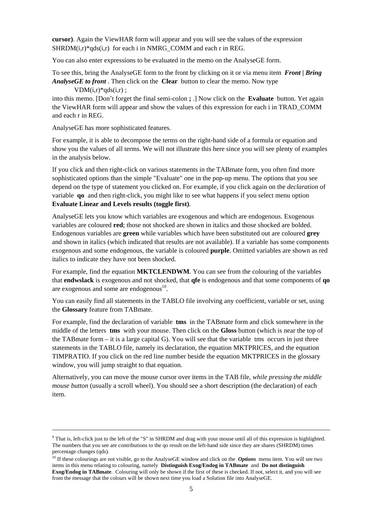**cursor)**. Again the ViewHAR form will appear and you will see the values of the expression  $SHRDM(i,r)*qds(i,r)$  for each i in NMRG\_COMM and each r in REG.

You can also enter expressions to be evaluated in the memo on the AnalyseGE form.

To see this, bring the AnalyseGE form to the front by clicking on it or via menu item *Front | Bring AnalyseGE to front* . Then click on the **Clear** button to clear the memo. Now type

 $VDM(i,r)*qds(i,r);$ 

into this memo. [Don't forget the final semi-colon **;** .] Now click on the **Evaluate** button. Yet again the ViewHAR form will appear and show the values of this expression for each i in TRAD\_COMM and each r in REG.

AnalyseGE has more sophisticated features.

For example, it is able to decompose the terms on the right-hand side of a formula or equation and show you the values of all terms. We will not illustrate this here since you will see plenty of examples in the analysis below.

If you click and then right-click on various statements in the TABmate form, you often find more sophisticated options than the simple "Evaluate" one in the pop-up menu. The options that you see depend on the type of statement you clicked on. For example, if you click again on the *declaration* of variable **qo** and then right-click, you might like to see what happens if you select menu option **Evaluate Linear and Levels results (toggle first)**.

AnalyseGE lets you know which variables are exogenous and which are endogenous. Exogenous variables are coloured **red**; those not shocked are shown in italics and those shocked are bolded. Endogenous variables are **green** while variables which have been substituted out are coloured **grey** and shown in italics (which indicated that results are not available). If a variable has some components exogenous and some endogenous, the variable is coloured **purple**. Omitted variables are shown as red italics to indicate they have not been shocked.

For example, find the equation **MKTCLENDWM**. You can see from the colouring of the variables that **endwslack** is exogenous and not shocked, that **qfe** is endogenous and that some components of **qo** are exogenous and some are endogenous $10$ .

You can easily find all statements in the TABLO file involving any coefficient, variable or set, using the **Glossary** feature from TABmate.

For example, find the declaration of variable **tms** in the TABmate form and click somewhere in the middle of the letters **tms** with your mouse. Then click on the **Gloss** button (which is near the top of the TABmate form – it is a large capital G). You will see that the variable tms occurs in just three statements in the TABLO file, namely its declaration, the equation MKTPRICES, and the equation TIMPRATIO. If you click on the red line number beside the equation MKTPRICES in the glossary window, you will jump straight to that equation.

Alternatively, you can move the mouse cursor over items in the TAB file*, while pressing the middle mouse button* (usually a scroll wheel). You should see a short description (the declaration) of each item.

<sup>-&</sup>lt;br>9 <sup>9</sup> That is, left-click just to the left of the "S" in SHRDM and drag with your mouse until all of this expression is highlighted. The numbers that you see are contributions to the qo result on the left-hand side since they are shares (SHRDM) times percentage changes (qds).

<sup>&</sup>lt;sup>10</sup> If these colourings are not visible, go to the AnalyseGE window and click on the *Options* menu item. You will see two items in this menu relating to colouring, namely **Distinguish Exog/Endog in TABmate** and **Do not distinguish Exog/Endog in TABmate**. Colouring will only be shown if the first of these is checked. If not, select it, and you will see from the message that the colours will be shown next time you load a Solution file into AnalyseGE.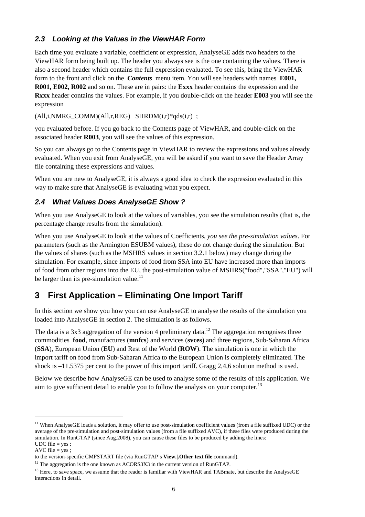## *2.3 Looking at the Values in the ViewHAR Form*

Each time you evaluate a variable, coefficient or expression, AnalyseGE adds two headers to the ViewHAR form being built up. The header you always see is the one containing the values. There is also a second header which contains the full expression evaluated. To see this, bring the ViewHAR form to the front and click on the *Contents* menu item. You will see headers with names **E001, R001, E002, R002** and so on. These are in pairs: the **Exxx** header contains the expression and the **Rxxx** header contains the values. For example, if you double-click on the header **E003** you will see the expression

 $(All,i,NMRG_COMM)(All,r,REG)$  SHRD $M(i,r)*qds(i,r)$ ;

you evaluated before. If you go back to the Contents page of ViewHAR, and double-click on the associated header **R003**, you will see the values of this expression.

So you can always go to the Contents page in ViewHAR to review the expressions and values already evaluated. When you exit from AnalyseGE, you will be asked if you want to save the Header Array file containing these expressions and values.

When you are new to Analyse GE, it is always a good idea to check the expression evaluated in this way to make sure that AnalyseGE is evaluating what you expect.

## *2.4 What Values Does AnalyseGE Show ?*

When you use AnalyseGE to look at the values of variables, you see the simulation results (that is, the percentage change results from the simulation).

When you use AnalyseGE to look at the values of Coefficients, *you see the pre-simulation values*. For parameters (such as the Armington ESUBM values), these do not change during the simulation. But the values of shares (such as the MSHRS values in section 3.2.1 below) may change during the simulation. For example, since imports of food from SSA into EU have increased more than imports of food from other regions into the EU, the post-simulation value of MSHRS("food","SSA","EU") will be larger than its pre-simulation value.<sup>11</sup>

# **3 First Application – Eliminating One Import Tariff**

In this section we show you how you can use AnalyseGE to analyse the results of the simulation you loaded into AnalyseGE in section 2. The simulation is as follows.

The data is a 3x3 aggregation of the version 4 preliminary data.<sup>12</sup> The aggregation recognises three commodities **food**, manufactures (**mnfcs**) and services (**svces**) and three regions, Sub-Saharan Africa (**SSA**), European Union (**EU**) and Rest of the World (**ROW**). The simulation is one in which the import tariff on food from Sub-Saharan Africa to the European Union is completely eliminated. The shock is –11.5375 per cent to the power of this import tariff. Gragg 2,4,6 solution method is used.

Below we describe how AnalyseGE can be used to analyse some of the results of this application. We aim to give sufficient detail to enable you to follow the analysis on your computer.<sup>13</sup>

l

<sup>&</sup>lt;sup>11</sup> When AnalyseGE loads a solution, it may offer to use post-simulation coefficient values (from a file suffixed UDC) or the average of the pre-simulation and post-simulation values (from a file suffixed AVC), if these files were produced during the simulation. In RunGTAP (since Aug.2008), you can cause these files to be produced by adding the lines: UDC file  $=$  yes ;

AVC file  $=$  yes :

to the version-specific CMFSTART file (via RunGTAP's **View.|.Other text file** command).

 $12$  The aggregation is the one known as ACORS3X3 in the current version of RunGTAP.

 $<sup>13</sup>$  Here, to save space, we assume that the reader is familiar with ViewHAR and TABmate, but describe the AnalyseGE</sup> interactions in detail.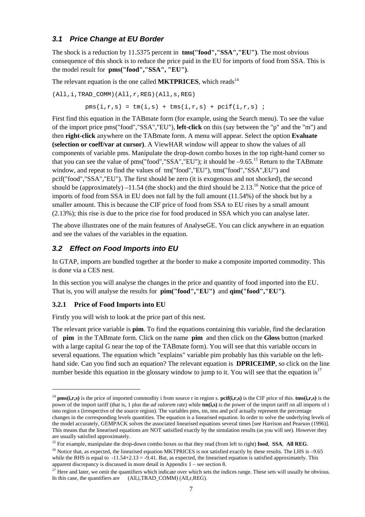### *3.1 Price Change at EU Border*

The shock is a reduction by 11.5375 percent in **tms("food","SSA","EU")**. The most obvious consequence of this shock is to reduce the price paid in the EU for imports of food from SSA. This is the model result for **pms("food","SSA", "EU")**.

The relevant equation is the one called **MKTPRICES**, which reads<sup>14</sup>

(All,i,TRAD\_COMM)(All,r,REG)(All,s,REG)

 $pms(i,r,s) = tm(i,s) + tms(i,r,s) + pcif(i,r,s)$ ;

First find this equation in the TABmate form (for example, using the Search menu). To see the value of the import price pms("food","SSA","EU"), **left-click** on this (say between the "p" and the "m") and then **right-click** anywhere on the TABmate form. A menu will appear. Select the option **Evaluate (selection or coeff/var at cursor)**. A ViewHAR window will appear to show the values of all components of variable pms. Manipulate the drop-down combo boxes in the top right-hand corner so that you can see the value of pms("food"," $SSA$ "," $EU$ "); it should be  $-9.65$ .<sup>15</sup> Return to the TABmate window, and repeat to find the values of tm("food","EU"), tms("food","SSA",EU") and pcif("food","SSA","EU"). The first should be zero (it is exogenous and not shocked), the second should be (approximately) –11.54 (the shock) and the third should be 2.13.<sup>16</sup> Notice that the price of imports of food from SSA in EU does not fall by the full amount (11.54%) of the shock but by a smaller amount. This is because the CIF price of food from SSA to EU rises by a small amount (2.13%); this rise is due to the price rise for food produced in SSA which you can analyse later.

The above illustrates one of the main features of AnalyseGE. You can click anywhere in an equation and see the values of the variables in the equation.

### *3.2 Effect on Food Imports into EU*

In GTAP, imports are bundled together at the border to make a composite imported commodity. This is done via a CES nest.

In this section you will analyse the changes in the price and quantity of food imported into the EU. That is, you will analyse the results for **pim("food","EU")** and **qim("food","EU")**.

#### **3.2.1 Price of Food Imports into EU**

1

Firstly you will wish to look at the price part of this nest.

The relevant price variable is **pim**. To find the equations containing this variable, find the declaration of **pim** in the TABmate form. Click on the name **pim** and then click on the **Gloss** button (marked with a large capital G near the top of the TAB mate form). You will see that this variable occurs in several equations. The equation which "explains" variable pim probably has this variable on the lefthand side. Can you find such an equation? The relevant equation is **DPRICEIMP**, so click on the line number beside this equation in the glossary window to jump to it. You will see that the equation is<sup>17</sup>

<sup>&</sup>lt;sup>14</sup> **pms(i,r,s)** is the price of imported commodity i from source r in region s.  $\text{pcif}(i,r,s)$  is the CIF price of this. **tms(i,r,s)** is the power of the import tariff (that is, 1 plus the *ad valorem* rate) while **tm(i,s)** is the power of the import tariff on all imports of i into region s (irrespective of the source region). The variables pms, tm, tms and pcif actually represent the percentage changes in the corresponding levels quantities. The equation is a linearised equation. In order to solve the underlying levels of the model accurately, GEMPACK solves the associated linearised equations several times [see Harrison and Pearson (1996)]. This means that the linearised equations are NOT satisified exactly by the simulation results (as you will see). However they are usually satisfied approximately.

<sup>15</sup> For example, manipulate the drop-down combo boxes so that they read (from left to right) **food**, **SSA**, **All REG**.

<sup>&</sup>lt;sup>16</sup> Notice that, as expected, the linearised equation MKTPRICES is not satisfied exactly by these results. The LHS is -9.65 while the RHS is equal to  $-11.54+2.13 = -9.41$ . But, as expected, the linearised equation is satisfied approximately. This apparent discrepancy is discussed in more detail in Appendix 1 – see section 8.

<sup>&</sup>lt;sup>17</sup> Here and later, we omit the quantifiers which indicate over which sets the indices range. These sets will usually be obvious. In this case, the quantifiers are (All,i,TRAD\_COMM) (All,r,REG).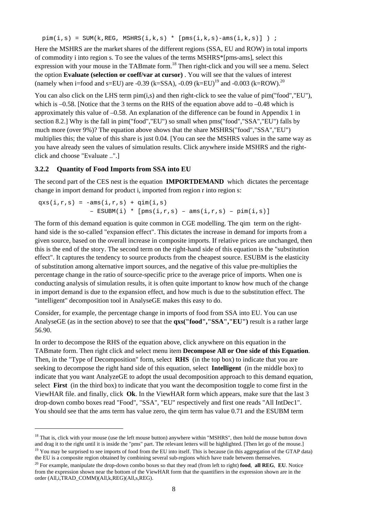$pim(i,s) = SUM(k, REG, MSHRS(i,k,s) * [pms(i,k,s)-ams(i,k,s)] )$  ;

Here the MSHRS are the market shares of the different regions (SSA, EU and ROW) in total imports of commodity i into region s. To see the values of the terms MSHRS\*[pms-ams], select this expression with your mouse in the TABmate form.<sup>18</sup> Then right-click and you will see a menu. Select the option **Evaluate (selection or coeff/var at cursor)** . You will see that the values of interest (namely when i=food and s=EU) are -0.39 (k=SSA), -0.09 (k=EU)<sup>19</sup> and -0.003 (k=ROW).<sup>20</sup>

You can also click on the LHS term pim(i,s) and then right-click to see the value of pim("food","EU"), which is –0.58. [Notice that the 3 terms on the RHS of the equation above add to –0.48 which is approximately this value of –0.58. An explanation of the difference can be found in Appendix 1 in section 8.2.] Why is the fall in pim("food","EU") so small when pms("food","SSA","EU") falls by much more (over 9%)? The equation above shows that the share MSHRS("food","SSA","EU") multiplies this; the value of this share is just 0.04. [You can see the MSHRS values in the same way as you have already seen the values of simulation results. Click anywhere inside MSHRS and the rightclick and choose "Evaluate ..".]

#### **3.2.2 Quantity of Food Imports from SSA into EU**

l

The second part of the CES nest is the equation **IMPORTDEMAND** which dictates the percentage change in import demand for product i, imported from region r into region s:

 $qxs(i,r,s) = -ams(i,r,s) + qim(i,s)$  $-$  ESUBM(i) \* [pms(i,r,s) - ams(i,r,s) - pim(i,s)]

The form of this demand equation is quite common in CGE modelling. The qim term on the righthand side is the so-called "expansion effect". This dictates the increase in demand for imports from a given source, based on the overall increase in composite imports. If relative prices are unchanged, then this is the end of the story. The second term on the right-hand side of this equation is the "substitution effect". It captures the tendency to source products from the cheapest source. ESUBM is the elasticity of substitution among alternative import sources, and the negative of this value pre-multiplies the percentage change in the ratio of source-specific price to the average price of imports. When one is conducting analysis of simulation results, it is often quite important to know how much of the change in import demand is due to the expansion effect, and how much is due to the substitution effect. The "intelligent" decomposition tool in AnalyseGE makes this easy to do.

Consider, for example, the percentage change in imports of food from SSA into EU. You can use AnalyseGE (as in the section above) to see that the **qxs("food","SSA","EU")** result is a rather large 56.90.

In order to decompose the RHS of the equation above, click anywhere on this equation in the TABmate form. Then right click and select menu item **Decompose All or One side of this Equation**. Then, in the "Type of Decomposition" form, select **RHS** (in the top box) to indicate that you are seeking to decompose the right hand side of this equation, select **Intelligent** (in the middle box) to indicate that you want AnalyzeGE to adopt the usual decomposition approach to this demand equation, select **First** (in the third box) to indicate that you want the decomposition toggle to come first in the ViewHAR file. and finally, click **Ok**. In the ViewHAR form which appears, make sure that the last 3 drop-down combo boxes read "Food", "SSA", "EU" respectively and first one reads "All IntDec1". You should see that the ams term has value zero, the qim term has value 0.71 and the ESUBM term

<sup>&</sup>lt;sup>18</sup> That is, click with your mouse (use the left mouse button) anywhere within "MSHRS", then hold the mouse button down and drag it to the right until it is inside the "pms" part. The relevant letters will be highlighted. [Then let go of the mouse.] <sup>19</sup> You may be surprised to see imports of food from the EU into itself. This is because (in this aggregation of the GTAP data)

the EU is a composite region obtained by combining several sub-regions which have trade between themselves.

<sup>20</sup> For example, manipulate the drop-down combo boxes so that they read (from left to right) **food**, **all REG**, **EU**. Notice from the expression shown near the bottom of the ViewHAR form that the quantifiers in the expression shown are in the order (All,i,TRAD\_COMM)(All,k,REG)(All,s,REG).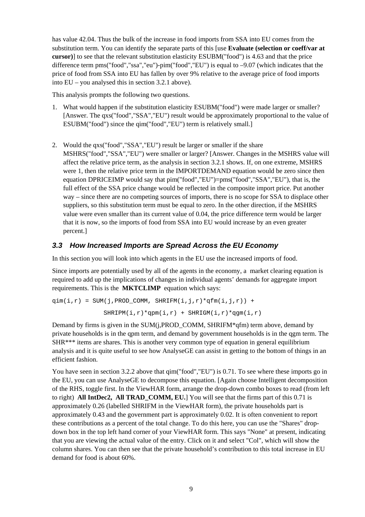has value 42.04. Thus the bulk of the increase in food imports from SSA into EU comes from the substitution term. You can identify the separate parts of this [use **Evaluate (selection or coeff/var at cursor)**] to see that the relevant substitution elasticity ESUBM("food") is 4.63 and that the price difference term pms("food","ssa","eu")-pim("food","EU") is equal to –9.07 (which indicates that the price of food from SSA into EU has fallen by over 9% relative to the average price of food imports into EU – you analysed this in section 3.2.1 above).

This analysis prompts the following two questions.

- 1. What would happen if the substitution elasticity ESUBM("food") were made larger or smaller? [Answer. The qxs("food","SSA","EU") result would be approximately proportional to the value of ESUBM("food") since the qim("food","EU") term is relatively small.]
- 2. Would the qxs("food","SSA","EU") result be larger or smaller if the share MSHRS("food","SSA","EU") were smaller or larger? [Answer. Changes in the MSHRS value will affect the relative price term, as the analysis in section 3.2.1 shows. If, on one extreme, MSHRS were 1, then the relative price term in the IMPORTDEMAND equation would be zero since then equation DPRICEIMP would say that pim("food","EU")=pms("food","SSA","EU"), that is, the full effect of the SSA price change would be reflected in the composite import price. Put another way – since there are no competing sources of imports, there is no scope for SSA to displace other suppliers, so this substitution term must be equal to zero. In the other direction, if the MSHRS value were even smaller than its current value of 0.04, the price difference term would be larger that it is now, so the imports of food from SSA into EU would increase by an even greater percent.]

### *3.3 How Increased Imports are Spread Across the EU Economy*

In this section you will look into which agents in the EU use the increased imports of food.

Since imports are potentially used by all of the agents in the economy, a market clearing equation is required to add up the implications of changes in individual agents' demands for aggregate import requirements. This is the **MKTCLIMP** equation which says:

```
\sigmaim(i,r) = SUM(j,PROD COMM, SHRIFM(i,j,r)*\sigmafm(i,j,r)) +
   SHRIPM(i,r)*qpm(i,r) + SHRIGM(i,r)*qqm(i,r)
```
Demand by firms is given in the SUM(j,PROD\_COMM, SHRIFM\*qfm) term above, demand by private households is in the qpm term, and demand by government households is in the qgm term. The SHR\*\*\* items are shares. This is another very common type of equation in general equilibrium analysis and it is quite useful to see how AnalyseGE can assist in getting to the bottom of things in an efficient fashion.

You have seen in section 3.2.2 above that qim("food","EU") is 0.71. To see where these imports go in the EU, you can use AnalyseGE to decompose this equation. [Again choose Intelligent decomposition of the RHS, toggle first. In the ViewHAR form, arrange the drop-down combo boxes to read (from left to right) **All IntDec2, All TRAD\_COMM, EU.**] You will see that the firms part of this 0.71 is approximately 0.26 (labelled SHRIFM in the ViewHAR form), the private households part is approximately 0.43 and the government part is approximately 0.02. It is often convenient to report these contributions as a percent of the total change. To do this here, you can use the "Shares" dropdown box in the top left hand corner of your ViewHAR form. This says "None" at present, indicating that you are viewing the actual value of the entry. Click on it and select "Col", which will show the column shares. You can then see that the private household's contribution to this total increase in EU demand for food is about 60%.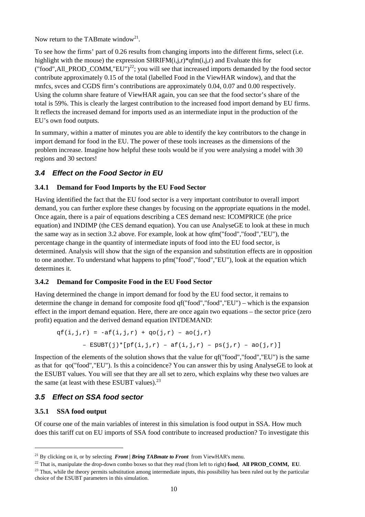Now return to the TAB mate window<sup>21</sup>.

To see how the firms' part of 0.26 results from changing imports into the different firms, select (i.e. highlight with the mouse) the expression SHRIFM $(i,j,r)$ <sup>\*</sup>qfm $(i,j,r)$  and Evaluate this for ("food", All\_PROD\_COMM, "EU")<sup>22</sup>; you will see that increased imports demanded by the food sector contribute approximately 0.15 of the total (labelled Food in the ViewHAR window), and that the mnfcs, svces and CGDS firm's contributions are approximately 0.04, 0.07 and 0.00 respectively. Using the column share feature of ViewHAR again, you can see that the food sector's share of the total is 59%. This is clearly the largest contribution to the increased food import demand by EU firms. It reflects the increased demand for imports used as an intermediate input in the production of the EU's own food outputs.

In summary, within a matter of minutes you are able to identify the key contributors to the change in import demand for food in the EU. The power of these tools increases as the dimensions of the problem increase. Imagine how helpful these tools would be if you were analysing a model with 30 regions and 30 sectors!

## *3.4 Effect on the Food Sector in EU*

### **3.4.1 Demand for Food Imports by the EU Food Sector**

Having identified the fact that the EU food sector is a very important contributor to overall import demand, you can further explore these changes by focusing on the appropriate equations in the model. Once again, there is a pair of equations describing a CES demand nest: ICOMPRICE (the price equation) and INDIMP (the CES demand equation). You can use AnalyseGE to look at these in much the same way as in section 3.2 above. For example, look at how qfm("food","food","EU"), the percentage change in the quantity of intermediate inputs of food into the EU food sector, is determined. Analysis will show that the sign of the expansion and substitution effects are in opposition to one another. To understand what happens to pfm("food","food","EU"), look at the equation which determines it.

#### **3.4.2 Demand for Composite Food in the EU Food Sector**

Having determined the change in import demand for food by the EU food sector, it remains to determine the change in demand for composite food qf("food","food","EU") – which is the expansion effect in the import demand equation. Here, there are once again two equations – the sector price (zero profit) equation and the derived demand equation INTDEMAND:

$$
qf(i,j,r) = -af(i,j,r) + qo(j,r) - ao(j,r)
$$
  
- ESUBT(j)\*[pf(i,j,r) - af(i,j,r) - ps(j,r) - ao(j,r)]

Inspection of the elements of the solution shows that the value for qf("food","food","EU") is the same as that for qo("food","EU"). Is this a coincidence? You can answer this by using AnalyseGE to look at the ESUBT values. You will see that they are all set to zero, which explains why these two values are the same (at least with these ESUBT values). $^{23}$ 

## *3.5 Effect on SSA food sector*

### **3.5.1 SSA food output**

l

Of course one of the main variables of interest in this simulation is food output in SSA. How much does this tariff cut on EU imports of SSA food contribute to increased production? To investigate this

<sup>&</sup>lt;sup>21</sup> By clicking on it, or by selecting *Front | Bring TABmate to Front* from ViewHAR's menu.

<sup>&</sup>lt;sup>22</sup> That is, manipulate the drop-down combo boxes so that they read (from left to right) **food**, **All PROD\_COMM, EU**.

<sup>&</sup>lt;sup>23</sup> Thus, while the theory permits substitution among intermediate inputs, this possibility has been ruled out by the particular choice of the ESUBT parameters in this simulation.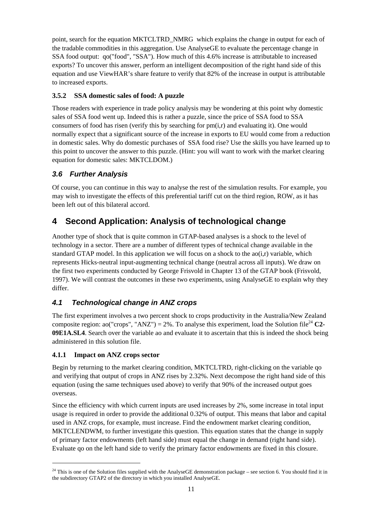point, search for the equation MKTCLTRD\_NMRG which explains the change in output for each of the tradable commodities in this aggregation. Use AnalyseGE to evaluate the percentage change in SSA food output: qo("food", "SSA"). How much of this 4.6% increase is attributable to increased exports? To uncover this answer, perform an intelligent decomposition of the right hand side of this equation and use ViewHAR's share feature to verify that 82% of the increase in output is attributable to increased exports.

## **3.5.2 SSA domestic sales of food: A puzzle**

Those readers with experience in trade policy analysis may be wondering at this point why domestic sales of SSA food went up. Indeed this is rather a puzzle, since the price of SSA food to SSA consumers of food has risen (verify this by searching for  $pm(i,r)$  and evaluating it). One would normally expect that a significant source of the increase in exports to EU would come from a reduction in domestic sales. Why do domestic purchases of SSA food rise? Use the skills you have learned up to this point to uncover the answer to this puzzle. (Hint: you will want to work with the market clearing equation for domestic sales: MKTCLDOM.)

# *3.6 Further Analysis*

Of course, you can continue in this way to analyse the rest of the simulation results. For example, you may wish to investigate the effects of this preferential tariff cut on the third region, ROW, as it has been left out of this bilateral accord.

# **4 Second Application: Analysis of technological change**

Another type of shock that is quite common in GTAP-based analyses is a shock to the level of technology in a sector. There are a number of different types of technical change available in the standard GTAP model. In this application we will focus on a shock to the  $ao(i,r)$  variable, which represents Hicks-neutral input-augmenting technical change (neutral across all inputs). We draw on the first two experiments conducted by George Frisvold in Chapter 13 of the GTAP book (Frisvold, 1997). We will contrast the outcomes in these two experiments, using AnalyseGE to explain why they differ.

# *4.1 Technological change in ANZ crops*

The first experiment involves a two percent shock to crops productivity in the Australia/New Zealand composite region: ao("crops", "ANZ") = 2%. To analyse this experiment, load the Solution file<sup>24</sup> C2-**09E1A.SL4**. Search over the variable ao and evaluate it to ascertain that this is indeed the shock being administered in this solution file.

## **4.1.1 Impact on ANZ crops sector**

1

Begin by returning to the market clearing condition, MKTCLTRD, right-clicking on the variable qo and verifying that output of crops in ANZ rises by 2.32%. Next decompose the right hand side of this equation (using the same techniques used above) to verify that 90% of the increased output goes overseas.

Since the efficiency with which current inputs are used increases by 2%, some increase in total input usage is required in order to provide the additional 0.32% of output. This means that labor and capital used in ANZ crops, for example, must increase. Find the endowment market clearing condition, MKTCLENDWM, to further investigate this question. This equation states that the change in supply of primary factor endowments (left hand side) must equal the change in demand (right hand side). Evaluate qo on the left hand side to verify the primary factor endowments are fixed in this closure.

 $^{24}$  This is one of the Solution files supplied with the AnalyseGE demonstration package – see section 6. You should find it in the subdirectory GTAP2 of the directory in which you installed AnalyseGE.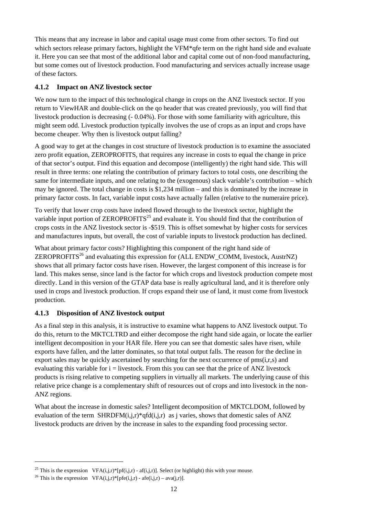This means that any increase in labor and capital usage must come from other sectors. To find out which sectors release primary factors, highlight the VFM<sup>\*</sup>qfe term on the right hand side and evaluate it. Here you can see that most of the additional labor and capital come out of non-food manufacturing, but some comes out of livestock production. Food manufacturing and services actually increase usage of these factors.

### **4.1.2 Impact on ANZ livestock sector**

We now turn to the impact of this technological change in crops on the ANZ livestock sector. If you return to ViewHAR and double-click on the qo header that was created previously, you will find that livestock production is decreasing (- 0.04%). For those with some familiarity with agriculture, this might seem odd. Livestock production typically involves the use of crops as an input and crops have become cheaper. Why then is livestock output falling?

A good way to get at the changes in cost structure of livestock production is to examine the associated zero profit equation, ZEROPROFITS, that requires any increase in costs to equal the change in price of that sector's output. Find this equation and decompose (intelligently) the right hand side. This will result in three terms: one relating the contribution of primary factors to total costs, one describing the same for intermediate inputs, and one relating to the (exogenous) slack variable's contribution – which may be ignored. The total change in costs is \$1,234 million – and this is dominated by the increase in primary factor costs. In fact, variable input costs have actually fallen (relative to the numeraire price).

To verify that lower crop costs have indeed flowed through to the livestock sector, highlight the variable input portion of  $ZEROPROFITS^{25}$  and evaluate it. You should find that the contribution of crops costs in the ANZ livestock sector is -\$519. This is offset somewhat by higher costs for services and manufactures inputs, but overall, the cost of variable inputs to livestock production has declined.

What about primary factor costs? Highlighting this component of the right hand side of ZEROPROFITS<sup>26</sup> and evaluating this expression for (ALL ENDW COMM, livestock, AustrNZ) shows that all primary factor costs have risen. However, the largest component of this increase is for land. This makes sense, since land is the factor for which crops and livestock production compete most directly. Land in this version of the GTAP data base is really agricultural land, and it is therefore only used in crops and livestock production. If crops expand their use of land, it must come from livestock production.

### **4.1.3 Disposition of ANZ livestock output**

As a final step in this analysis, it is instructive to examine what happens to ANZ livestock output. To do this, return to the MKTCLTRD and either decompose the right hand side again, or locate the earlier intelligent decomposition in your HAR file. Here you can see that domestic sales have risen, while exports have fallen, and the latter dominates, so that total output falls. The reason for the decline in export sales may be quickly ascertained by searching for the next occurrence of pms(i,r,s) and evaluating this variable for  $i =$  livestock. From this you can see that the price of ANZ livestock products is rising relative to competing suppliers in virtually all markets. The underlying cause of this relative price change is a complementary shift of resources out of crops and into livestock in the non-ANZ regions.

What about the increase in domestic sales? Intelligent decomposition of MKTCLDOM, followed by evaluation of the term  $SHRDFM(i,j,r)*qfd(i,j,r)$  as j varies, shows that domestic sales of ANZ livestock products are driven by the increase in sales to the expanding food processing sector.

l

<sup>&</sup>lt;sup>25</sup> This is the expression VFA(i,j,r)\*[pf(i,j,r) - af(i,j,r)]. Select (or highlight) this with your mouse.

<sup>&</sup>lt;sup>26</sup> This is the expression VFA(i,j,r)\*[pfe(i,j,r) - afe(i,j,r) – ava(j,r)].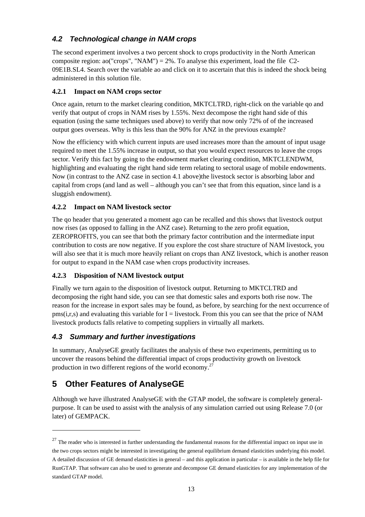## *4.2 Technological change in NAM crops*

The second experiment involves a two percent shock to crops productivity in the North American composite region: ao("crops", "NAM") = 2%. To analyse this experiment, load the file C2-09E1B.SL4. Search over the variable ao and click on it to ascertain that this is indeed the shock being administered in this solution file.

### **4.2.1 Impact on NAM crops sector**

Once again, return to the market clearing condition, MKTCLTRD, right-click on the variable qo and verify that output of crops in NAM rises by 1.55%. Next decompose the right hand side of this equation (using the same techniques used above) to verify that now only 72% of of the increased output goes overseas. Why is this less than the 90% for ANZ in the previous example?

Now the efficiency with which current inputs are used increases more than the amount of input usage required to meet the 1.55% increase in output, so that you would expect resources to leave the crops sector. Verify this fact by going to the endowment market clearing condition, MKTCLENDWM, highlighting and evaluating the right hand side term relating to sectoral usage of mobile endowments. Now (in contrast to the ANZ case in section 4.1 above)the livestock sector is absorbing labor and capital from crops (and land as well – although you can't see that from this equation, since land is a sluggish endowment).

### **4.2.2 Impact on NAM livestock sector**

The qo header that you generated a moment ago can be recalled and this shows that livestock output now rises (as opposed to falling in the ANZ case). Returning to the zero profit equation, ZEROPROFITS, you can see that both the primary factor contribution and the intermediate input contribution to costs are now negative. If you explore the cost share structure of NAM livestock, you will also see that it is much more heavily reliant on crops than ANZ livestock, which is another reason for output to expand in the NAM case when crops productivity increases.

### **4.2.3 Disposition of NAM livestock output**

Finally we turn again to the disposition of livestock output. Returning to MKTCLTRD and decomposing the right hand side, you can see that domestic sales and exports both rise now. The reason for the increase in export sales may be found, as before, by searching for the next occurrence of  $pms(i,r,s)$  and evaluating this variable for I = livestock. From this you can see that the price of NAM livestock products falls relative to competing suppliers in virtually all markets.

## *4.3 Summary and further investigations*

In summary, AnalyseGE greatly facilitates the analysis of these two experiments, permitting us to uncover the reasons behind the differential impact of crops productivity growth on livestock production in two different regions of the world economy.<sup>27</sup>

# **5 Other Features of AnalyseGE**

1

Although we have illustrated AnalyseGE with the GTAP model, the software is completely generalpurpose. It can be used to assist with the analysis of any simulation carried out using Release 7.0 (or later) of GEMPACK.

 $27$  The reader who is interested in further understanding the fundamental reasons for the differential impact on input use in the two crops sectors might be interested in investigating the general equilibrium demand elasticities underlying this model. A detailed discussion of GE demand elasticities in general – and this application in particular – is available in the help file for RunGTAP. That software can also be used to generate and decompose GE demand elasticities for any implementation of the standard GTAP model.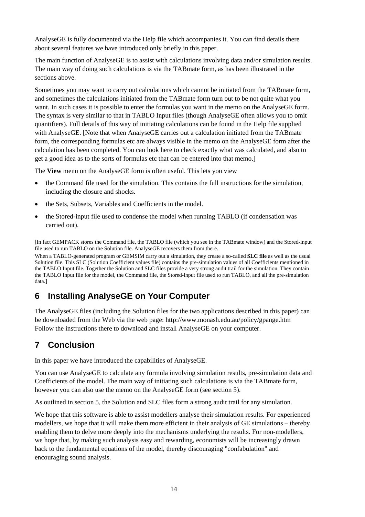AnalyseGE is fully documented via the Help file which accompanies it. You can find details there about several features we have introduced only briefly in this paper.

The main function of AnalyseGE is to assist with calculations involving data and/or simulation results. The main way of doing such calculations is via the TABmate form, as has been illustrated in the sections above.

Sometimes you may want to carry out calculations which cannot be initiated from the TABmate form, and sometimes the calculations initiated from the TABmate form turn out to be not quite what you want. In such cases it is possible to enter the formulas you want in the memo on the AnalyseGE form. The syntax is very similar to that in TABLO Input files (though AnalyseGE often allows you to omit quantifiers). Full details of this way of initiating calculations can be found in the Help file supplied with AnalyseGE. [Note that when AnalyseGE carries out a calculation initiated from the TABmate form, the corresponding formulas etc are always visible in the memo on the AnalyseGE form after the calculation has been completed. You can look here to check exactly what was calculated, and also to get a good idea as to the sorts of formulas etc that can be entered into that memo.]

The **View** menu on the AnalyseGE form is often useful. This lets you view

- the Command file used for the simulation. This contains the full instructions for the simulation, including the closure and shocks.
- the Sets, Subsets, Variables and Coefficients in the model.
- the Stored-input file used to condense the model when running TABLO (if condensation was carried out).

[In fact GEMPACK stores the Command file, the TABLO file (which you see in the TABmate window) and the Stored-input file used to run TABLO on the Solution file. AnalyseGE recovers them from there.

When a TABLO-generated program or GEMSIM carry out a simulation, they create a so-called **SLC file** as well as the usual Solution file. This SLC (Solution Coefficient values file) contains the pre-simulation values of all Coefficients mentioned in the TABLO Input file. Together the Solution and SLC files provide a very strong audit trail for the simulation. They contain the TABLO Input file for the model, the Command file, the Stored-input file used to run TABLO, and all the pre-simulation data.]

# **6 Installing AnalyseGE on Your Computer**

The AnalyseGE files (including the Solution files for the two applications described in this paper) can be downloaded from the Web via the web page: http://www.monash.edu.au/policy/gpange.htm Follow the instructions there to download and install AnalyseGE on your computer.

# **7 Conclusion**

In this paper we have introduced the capabilities of AnalyseGE.

You can use AnalyseGE to calculate any formula involving simulation results, pre-simulation data and Coefficients of the model. The main way of initiating such calculations is via the TABmate form, however you can also use the memo on the AnalyseGE form (see section 5).

As outlined in section 5, the Solution and SLC files form a strong audit trail for any simulation.

We hope that this software is able to assist modellers analyse their simulation results. For experienced modellers, we hope that it will make them more efficient in their analysis of GE simulations – thereby enabling them to delve more deeply into the mechanisms underlying the results. For non-modellers, we hope that, by making such analysis easy and rewarding, economists will be increasingly drawn back to the fundamental equations of the model, thereby discouraging "confabulation" and encouraging sound analysis.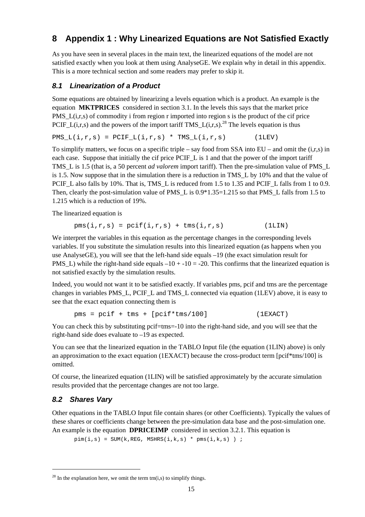# **8 Appendix 1 : Why Linearized Equations are Not Satisfied Exactly**

As you have seen in several places in the main text, the linearized equations of the model are not satisfied exactly when you look at them using AnalyseGE. We explain why in detail in this appendix. This is a more technical section and some readers may prefer to skip it.

### *8.1 Linearization of a Product*

Some equations are obtained by linearizing a levels equation which is a product. An example is the equation **MKTPRICES** considered in section 3.1. In the levels this says that the market price PMS<sub>L</sub>(i,r,s) of commodity i from region r imported into region s is the product of the cif price PCIF L(i,r,s) and the powers of the import tariff TMS L(i,r,s).<sup>28</sup> The levels equation is thus

 $PMS_L(i,r,s) = PCIF_L(i,r,s) * TMS_L(i,r,s)$  (1LEV)

To simplify matters, we focus on a specific triple – say food from SSA into  $EU$  – and omit the  $(i,r,s)$  in each case. Suppose that initially the cif price PCIF<sub>L</sub> is 1 and that the power of the import tariff TMS\_L is 1.5 (that is, a 50 percent *ad valorem* import tariff). Then the pre-simulation value of PMS\_L is 1.5. Now suppose that in the simulation there is a reduction in TMS\_L by 10% and that the value of PCIF<sub>L</sub> also falls by 10%. That is, TMS<sub>L</sub> is reduced from 1.5 to 1.35 and PCIF<sub>L</sub> falls from 1 to 0.9. Then, clearly the post-simulation value of PMS L is  $0.9*1.35=1.215$  so that PMS L falls from 1.5 to 1.215 which is a reduction of 19%.

The linearized equation is

$$
pms(i,r,s) = pcif(i,r,s) + tms(i,r,s)
$$
 (1LIN)

We interpret the variables in this equation as the percentage changes in the corresponding levels variables. If you substitute the simulation results into this linearized equation (as happens when you use AnalyseGE), you will see that the left-hand side equals –19 (the exact simulation result for PMS L) while the right-hand side equals  $-10 + -10 = -20$ . This confirms that the linearized equation is not satisfied exactly by the simulation results.

Indeed, you would not want it to be satisfied exactly. If variables pms, pcif and tms are the percentage changes in variables PMS\_L, PCIF\_L and TMS\_L connected via equation (1LEV) above, it is easy to see that the exact equation connecting them is

$$
pms = point + tms + [pcif *tms/100]
$$
 (1EXACT)

You can check this by substituting pcif=tms=-10 into the right-hand side, and you will see that the right-hand side does evaluate to –19 as expected.

You can see that the linearized equation in the TABLO Input file (the equation (1LIN) above) is only an approximation to the exact equation (1EXACT) because the cross-product term [pcif\*tms/100] is omitted.

Of course, the linearized equation (1LIN) will be satisfied approximately by the accurate simulation results provided that the percentage changes are not too large.

### *8.2 Shares Vary*

-

Other equations in the TABLO Input file contain shares (or other Coefficients). Typically the values of these shares or coefficients change between the pre-simulation data base and the post-simulation one. An example is the equation **DPRICEIMP** considered in section 3.2.1. This equation is

 $pim(i,s) = SUM(k,REG, MSHRS(i,k,s) * pms(i,k,s))$  ;

 $^{28}$  In the explanation here, we omit the term tm(i,s) to simplify things.